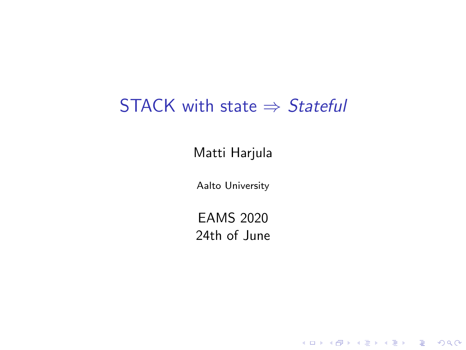#### STACK with state  $\Rightarrow$  Stateful

Matti Harjula

Aalto University

EAMS 2020 24th of June

K ロ ▶ K @ ▶ K 할 ▶ K 할 ▶ . 할 . ⊙ Q Q ^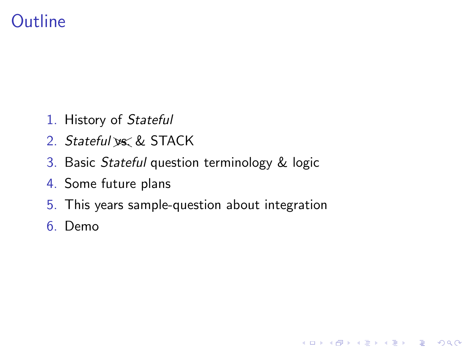## **Outline**

- 1. History of Stateful
- 2. Stateful vs. & STACK
- 3. Basic Stateful question terminology & logic
- 4. Some future plans
- 5. This years sample-question about integration

K ロ ▶ K 個 ▶ K 할 ▶ K 할 ▶ 이 할 → 9 Q Q →

6. Demo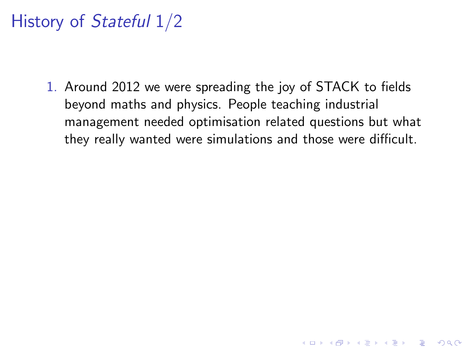1. Around 2012 we were spreading the joy of STACK to fields beyond maths and physics. People teaching industrial management needed optimisation related questions but what they really wanted were simulations and those were difficult.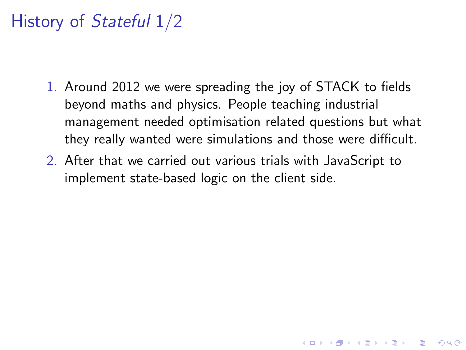- 1. Around 2012 we were spreading the joy of STACK to fields beyond maths and physics. People teaching industrial management needed optimisation related questions but what they really wanted were simulations and those were difficult.
- 2. After that we carried out various trials with JavaScript to implement state-based logic on the client side.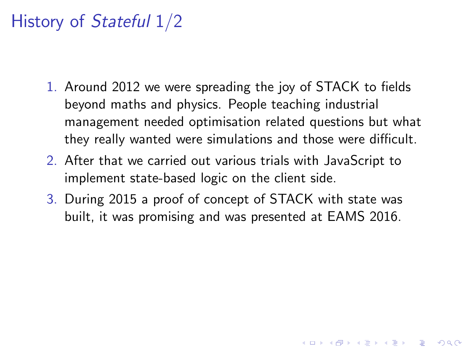- 1. Around 2012 we were spreading the joy of STACK to fields beyond maths and physics. People teaching industrial management needed optimisation related questions but what they really wanted were simulations and those were difficult.
- 2. After that we carried out various trials with JavaScript to implement state-based logic on the client side.
- 3. During 2015 a proof of concept of STACK with state was built, it was promising and was presented at EAMS 2016.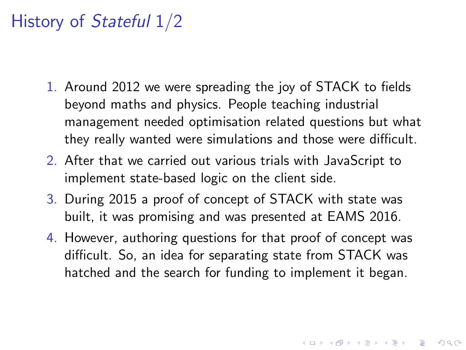- 1. Around 2012 we were spreading the joy of STACK to fields beyond maths and physics. People teaching industrial management needed optimisation related questions but what they really wanted were simulations and those were difficult.
- 2. After that we carried out various trials with JavaScript to implement state-based logic on the client side.
- 3. During 2015 a proof of concept of STACK with state was built, it was promising and was presented at EAMS 2016.
- 4. However, authoring questions for that proof of concept was difficult. So, an idea for separating state from STACK was hatched and the search for funding to implement it began.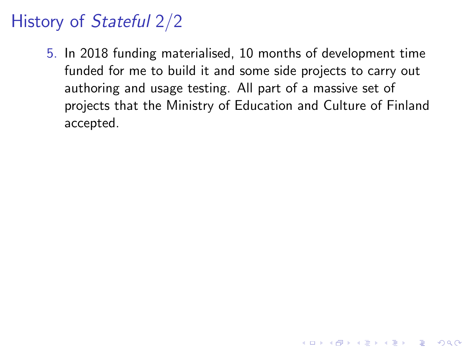5. In 2018 funding materialised, 10 months of development time funded for me to build it and some side projects to carry out authoring and usage testing. All part of a massive set of projects that the Ministry of Education and Culture of Finland accepted.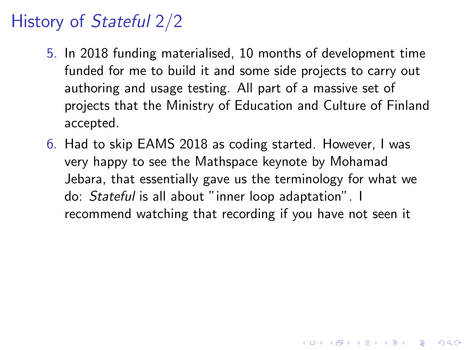- 5. In 2018 funding materialised, 10 months of development time funded for me to build it and some side projects to carry out authoring and usage testing. All part of a massive set of projects that the Ministry of Education and Culture of Finland accepted.
- 6. Had to skip EAMS 2018 as coding started. However, I was very happy to see the Mathspace keynote by Mohamad Jebara, that essentially gave us the terminology for what we do: Stateful is all about "inner loop adaptation". I recommend watching that recording if you have not seen it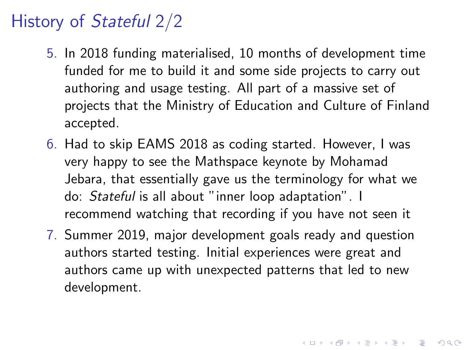- 5. In 2018 funding materialised, 10 months of development time funded for me to build it and some side projects to carry out authoring and usage testing. All part of a massive set of projects that the Ministry of Education and Culture of Finland accepted.
- 6. Had to skip EAMS 2018 as coding started. However, I was very happy to see the Mathspace keynote by Mohamad Jebara, that essentially gave us the terminology for what we do: Stateful is all about "inner loop adaptation". I recommend watching that recording if you have not seen it
- 7. Summer 2019, major development goals ready and question authors started testing. Initial experiences were great and authors came up with unexpected patterns that led to new development.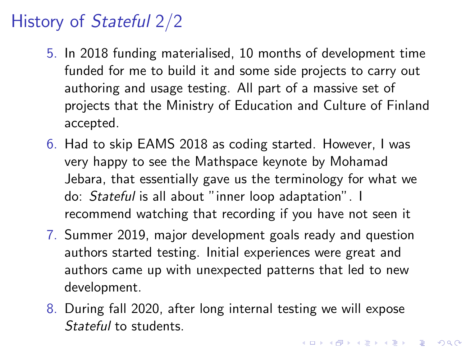- 5. In 2018 funding materialised, 10 months of development time funded for me to build it and some side projects to carry out authoring and usage testing. All part of a massive set of projects that the Ministry of Education and Culture of Finland accepted.
- 6. Had to skip EAMS 2018 as coding started. However, I was very happy to see the Mathspace keynote by Mohamad Jebara, that essentially gave us the terminology for what we do: Stateful is all about "inner loop adaptation". I recommend watching that recording if you have not seen it
- 7. Summer 2019, major development goals ready and question authors started testing. Initial experiences were great and authors came up with unexpected patterns that led to new development.
- 8. During fall 2020, after long internal testing we will expose Stateful to students.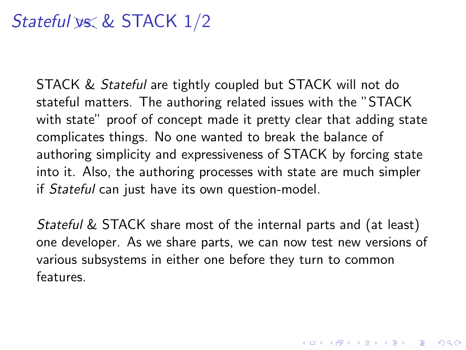# Stateful  $\frac{w}{x}$  & STACK  $\frac{1}{2}$

STACK & *Stateful* are tightly coupled but STACK will not do stateful matters. The authoring related issues with the "STACK with state" proof of concept made it pretty clear that adding state complicates things. No one wanted to break the balance of authoring simplicity and expressiveness of STACK by forcing state into it. Also, the authoring processes with state are much simpler if Stateful can just have its own question-model.

Stateful & STACK share most of the internal parts and (at least) one developer. As we share parts, we can now test new versions of various subsystems in either one before they turn to common features.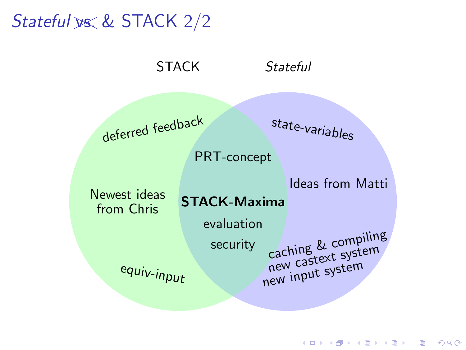Stateful ys. & STACK 2/2

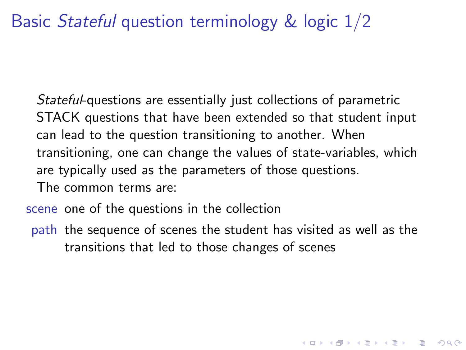#### Basic Stateful question terminology & logic 1/2

Stateful-questions are essentially just collections of parametric STACK questions that have been extended so that student input can lead to the question transitioning to another. When transitioning, one can change the values of state-variables, which are typically used as the parameters of those questions. The common terms are:

scene one of the questions in the collection

path the sequence of scenes the student has visited as well as the transitions that led to those changes of scenes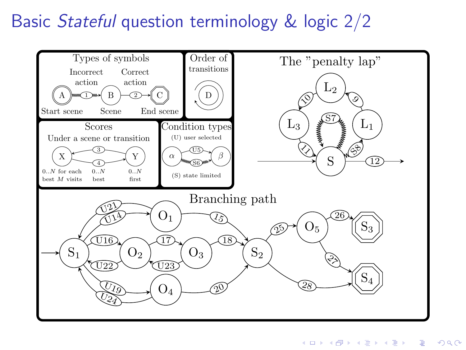## Basic Stateful question terminology & logic 2/2

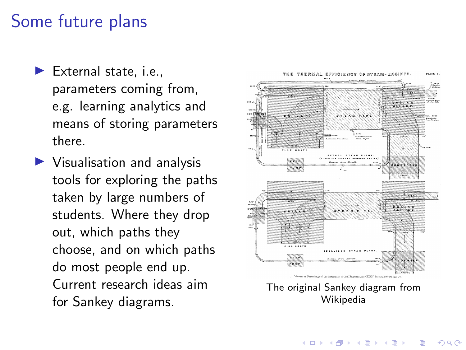#### Some future plans

- $\blacktriangleright$  External state, i.e., parameters coming from, e.g. learning analytics and means of storing parameters there.
- $\blacktriangleright$  Visualisation and analysis tools for exploring the paths taken by large numbers of students. Where they drop out, which paths they choose, and on which paths do most people end up. Current research ideas aim for Sankey diagrams.



**K ロ ▶ K 何 ▶ K ヨ ▶ K ヨ ▶**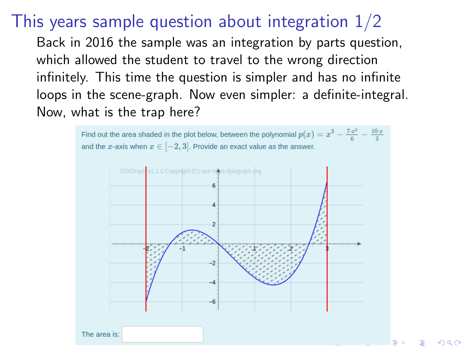#### This years sample question about integration 1/2

Back in 2016 the sample was an integration by parts question, which allowed the student to travel to the wrong direction infinitely. This time the question is simpler and has no infinite loops in the scene-graph. Now even simpler: a definite-integral. Now, what is the trap here?



 $\Omega$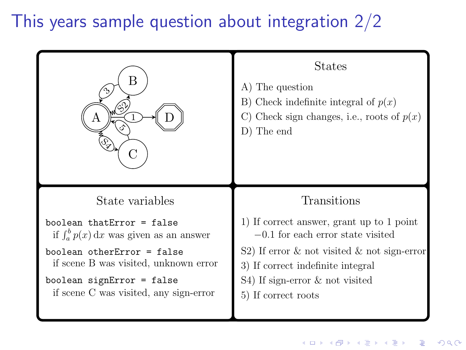# This years sample question about integration 2/2

| В<br>ļڅ                                          | <b>States</b><br>A) The question<br>B) Check indefinite integral of $p(x)$<br>C) Check sign changes, i.e., roots of $p(x)$<br>D) The end |
|--------------------------------------------------|------------------------------------------------------------------------------------------------------------------------------------------|
| State variables                                  | Transitions                                                                                                                              |
| boolean thatError = false                        | 1) If correct answer, grant up to 1 point                                                                                                |
| if $\int_{a}^{b} p(x) dx$ was given as an answer | $-0.1$ for each error state visited                                                                                                      |
| $boolean otherError = false$                     | S2) If error $\&$ not visited $\&$ not sign-error                                                                                        |
| if scene B was visited, unknown error            | 3) If correct indefinite integral                                                                                                        |
| boolean signError = false                        | S4) If sign-error & not visited                                                                                                          |
| if scene C was visited, any sign-error           | 5) If correct roots                                                                                                                      |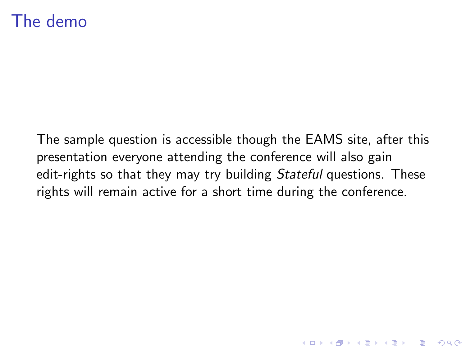#### The demo

The sample question is accessible though the EAMS site, after this presentation everyone attending the conference will also gain edit-rights so that they may try building *Stateful* questions. These rights will remain active for a short time during the conference.

K ロ ▶ K 個 ▶ K 할 ▶ K 할 ▶ 이 할 → 9 Q Q →